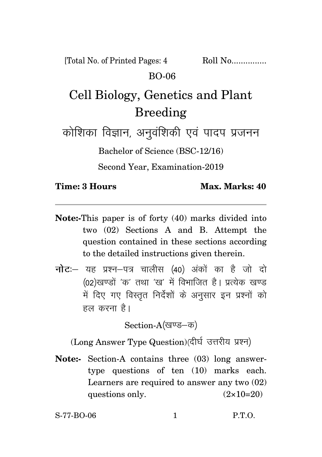[Total No. of Printed Pages: 4 Roll No................ BO-06

## Cell Biology, Genetics and Plant Breeding

कोशिका विज्ञान, अनुवंशिकी एवं पादप प्रजनन

Bachelor of Science (BSC-12/16)

Second Year, Examination-2019

**Time: 3 Hours Max. Marks: 40** 

- **Note:-**This paper is of forty (40) marks divided into two (02) Sections A and B. Attempt the question contained in these sections according to the detailed instructions given therein.
- **नोट**: यह प्रश्न-पत्र चालीस (40) अंकों का है जो दो (02)खण्डों 'क' तथा 'ख' में विभाजित है। प्रत्येक खण्ड में दिए गए विस्तृत निर्देशों के अनुसार इन प्रश्नों को हल करना है।

Section-A(खण्ड–क)

(Long Answer Type Question)(दीर्घ उत्तरीय प्रश्न)

**Note:-** Section-A contains three (03) long answertype questions of ten (10) marks each. Learners are required to answer any two (02) questions only.  $(2 \times 10=20)$ 

S-77-BO-06 1 P.T.O.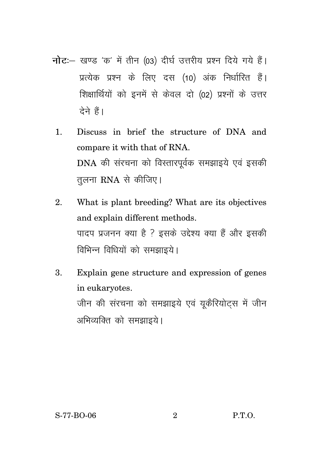- **नोट**: खण्ड 'क' में तीन (03) दीर्घ उत्तरीय प्रश्न दिये गये हैं। प्रत्येक प्रश्न के लिए दस (10) अंक निर्धारित हैं। शिक्षार्थियों को इनमें से केवल दो (02) प्रश्नों के उत्तर देने हैं।
	- 1. Discuss in brief the structure of DNA and compare it with that of RNA. DNA की संरचना को विस्तारपूर्वक समझाइये एवं इसकी तुलना RNA से कीजिए।
	- 2. What is plant breeding? What are its objectives and explain different methods. पादप प्रजनन क्या है ? इसके उद्देश्य क्या हैं और इसकी विभिन्न विधियों को समझाइये।
	- 3. Explain gene structure and expression of genes in eukaryotes. जीन की संरचना को समझाइये एवं युकैरियोट्स में जीन अभिव्यक्ति को समझाइये।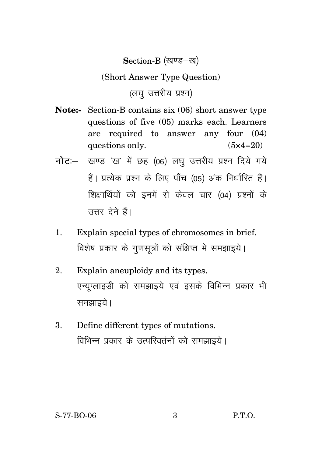Section-B (खण्ड-ख)

(Short Answer Type Question)

 $(\overline{d}u, \overline{d}v)$ 

- **Note:-** Section-B contains six (06) short answer type questions of five (05) marks each. Learners are required to answer any four (04) questions only.  $(5 \times 4=20)$
- **नोट:** खण्ड 'ख' में छह (06) लघु उत्तरीय प्रश्न दिये गये हैं। प्रत्येक प्रश्न के लिए पाँच (05) अंक निर्धारित हैं। शिक्षार्थियों को इनमें से केवल चार (04) प्रश्नों के उत्तर देने हैं।
- 1. Explain special types of chromosomes in brief. विशेष प्रकार के गुणसूत्रों को संक्षिप्त मे समझाइये।
- 2. Explain aneuploidy and its types. एन्यूप्लाइडी को समझाइये एवं इसके विभिन्न प्रकार भी समझाइये।
- 3. Define different types of mutations. विभिन्न प्रकार के उत्परिवर्तनों को समझाइये।